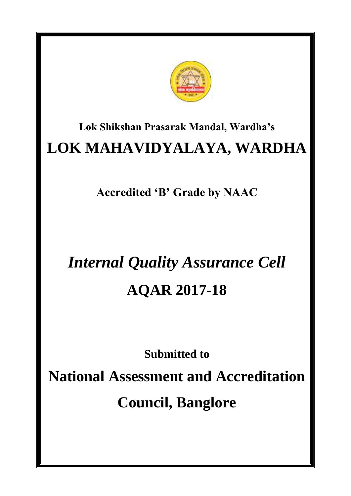

## **Lok Shikshan Prasarak Mandal, Wardha's LOK MAHAVIDYALAYA, WARDHA**

**Accredited 'B' Grade by NAAC**

# *Internal Quality Assurance Cell* **AQAR 2017-18**

**Submitted to**

**National Assessment and Accreditation Council, Banglore**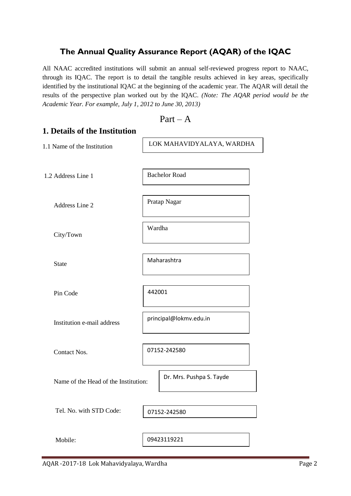## **The Annual Quality Assurance Report (AQAR) of the IQAC**

All NAAC accredited institutions will submit an annual self-reviewed progress report to NAAC, through its IQAC. The report is to detail the tangible results achieved in key areas, specifically identified by the institutional IQAC at the beginning of the academic year. The AQAR will detail the results of the perspective plan worked out by the IQAC. *(Note: The AQAR period would be the Academic Year. For example, July 1, 2012 to June 30, 2013)*

 $Part - A$ 

```
1. Details of the Institution
1.1 Name of the Institution
1.2 Address Line 1
     Address Line 2
     City/Town
     State
     Pin Code
     Institution e-mail address
     Contact Nos.
     Name of the Head of the Institution: 
     Tel. No. with STD Code: 
     Mobile:
                                     07152-242580
                                     LOK MAHAVIDYALAYA, WARDHA
                                     Bachelor Road
                                     Pratap Nagar
                                     Wardha
                                     Maharashtra
                                     442001
                                     principal@lokmv.edu.in
                                           Dr. Mrs. Pushpa S. Tayde
                                     09423119221
                                     07152-242580
```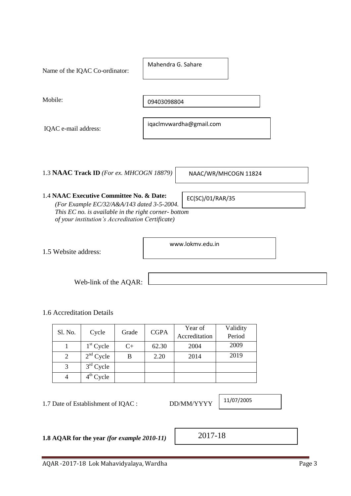| Mobile:                                                                                                                                                                                            | 09403098804             |
|----------------------------------------------------------------------------------------------------------------------------------------------------------------------------------------------------|-------------------------|
| IQAC e-mail address:                                                                                                                                                                               | iqaclmvwardha@gmail.com |
| 1.3 NAAC Track ID (For ex. MHCOGN 18879)                                                                                                                                                           | NAAC/WR/MHCOGN 11824    |
| 1.4 NAAC Executive Committee No. & Date:<br>(For Example EC/32/A&A/143 dated 3-5-2004.)<br>This EC no. is available in the right corner-bottom<br>of your institution's Accreditation Certificate) | EC(SC)/01/RAR/35        |
| 1.5 Website address:                                                                                                                                                                               | www.lokmy.edu.in        |
| Web-link of the AQAR:                                                                                                                                                                              |                         |

1.6 Accreditation Details

| Sl. No. | Cycle       | Grade | <b>CGPA</b> | Year of       | Validity |
|---------|-------------|-------|-------------|---------------|----------|
|         |             |       |             | Accreditation | Period   |
|         | $1st$ Cycle | $C+$  | 62.30       | 2004          | 2009     |
| 2       | $2nd$ Cycle | B     | 2.20        | 2014          | 2019     |
| 3       | $3rd$ Cycle |       |             |               |          |
|         | $4th$ Cycle |       |             |               |          |

1.7 Date of Establishment of IQAC : DD/MM/YYYY

**1.8 AQAR for the year** *(for example 2010-11)*

2017-18

11/07/2005

Name of the IQAC Co-ordinator:

Mahendra G. Sahare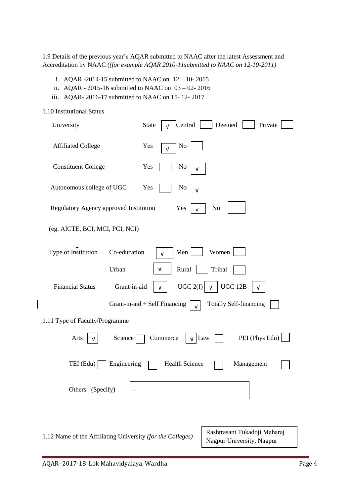1.9 Details of the previous year's AQAR submitted to NAAC after the latest Assessment and Accreditation by NAAC (*(for example AQAR 2010-11submitted to NAAC on 12-10-2011)*

- i. AQAR -2014-15 submitted to NAAC on 12 10- 2015
- ii. AQAR 2015-16 submitted to NAAC on 03 02- 2016
- iii. AQAR- 2016-17 submitted to NAAC on 15- 12- 2017

| 1.10 Institutional Status                                  |                                                                        |
|------------------------------------------------------------|------------------------------------------------------------------------|
| University                                                 | Central<br>Deemed<br>Private<br><b>State</b><br>$\sqrt{ }$             |
| <b>Affiliated College</b>                                  | Yes<br>No<br>$\sqrt{ }$                                                |
| <b>Constituent College</b>                                 | Yes<br>No                                                              |
| Autonomous college of UGC                                  | Yes<br>No<br>ν                                                         |
| Regulatory Agency approved Institution                     | N <sub>o</sub><br>Yes<br>$\sqrt{ }$                                    |
| (eg. AICTE, BCI, MCI, PCI, NCI)                            |                                                                        |
| $\Box$<br>Co-education<br>Type of Institution              | Women<br>Men<br>$\sqrt{ }$                                             |
| Urban                                                      | Rural<br>Tribal<br>$\sqrt{ }$                                          |
| <b>Financial Status</b><br>Grant-in-aid                    | UGC $2(f)$<br><b>UGC 12B</b><br>$\sqrt{ }$<br>$\sqrt{ }$<br>$\sqrt{ }$ |
|                                                            | <b>Totally Self-financing</b><br>Grant-in-aid + Self Financing<br>ν    |
| 1.11 Type of Faculty/Programme                             |                                                                        |
| Science<br>Arts<br>V                                       | PEI (Phys Edu)<br>Commerce<br>$\sqrt{$ Law                             |
| TEI (Edu)<br>Engineering                                   | <b>Health Science</b><br>Management                                    |
| Others (Specify)                                           |                                                                        |
|                                                            |                                                                        |
| 1.12 Name of the Affiliating University (for the Colleges) | Rashtrasant Tukadoji Maharaj<br>Nagpur University, Nagpur              |

 $\overline{\phantom{a}}$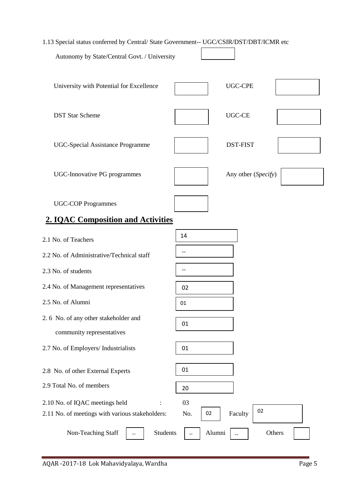1.13 Special status conferred by Central/ State Government-- UGC/CSIR/DST/DBT/ICMR etc Autonomy by State/Central Govt. / University University with Potential for Excellence  $\qquad$  | UGC-CPE DST Star Scheme UGC-CE UGC-Special Assistance Programme DST-FIST UGC-Innovative PG programmes Any other (*Specify*) UGC-COP Programmes **2. IQAC Composition and Activities** 2.1 No. of Teachers 2.2 No. of Administrative/Technical staff 2.3 No. of students 2.4 No. of Management representatives 2.5 No. of Alumni 2. 6 No. of any other stakeholder and community representatives 2.7 No. of Employers/ Industrialists 2.8 No. of other External Experts 2.9 Total No. of members 2.10 No. of IQAC meetings held : 03 2.11 No. of meetings with various stakeholders:  $\qquad$  No.  $\qquad$  |  $\qquad$  Faculty Non-Teaching Staff  $\vert$   $\vert$  Students  $\vert$   $\vert$  Alumni  $\vert$   $\vert$  Others 01 01 01 01 02 -- -- 14  $\overline{1}$ 02 -- 20 02 Alumni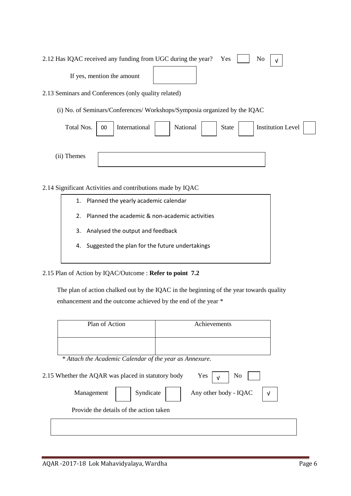| 2.12 Has IQAC received any funding from UGC during the year? Yes $\Box$ No $\vert \sqrt{ }$ |  |
|---------------------------------------------------------------------------------------------|--|
| If yes, mention the amount                                                                  |  |
| 2.13 Seminars and Conferences (only quality related)                                        |  |

(i) No. of Seminars/Conferences/ Workshops/Symposia organized by the IQAC

| Total Nos.  | 00 | International | National | State | <b>Institution Level</b> |  |
|-------------|----|---------------|----------|-------|--------------------------|--|
| (ii) Themes |    |               |          |       |                          |  |

#### 2.14 Significant Activities and contributions made by IQAC

1. Planned the yearly academic calendar 2. Planned the academic & non-academic activities 3. Analysed the output and feedback 4. Suggested the plan for the future undertakings

#### 2.15 Plan of Action by IQAC/Outcome : **Refer to point 7.2**

 The plan of action chalked out by the IQAC in the beginning of the year towards quality enhancement and the outcome achieved by the end of the year \*

| Plan of Action                                          | Achievements                        |
|---------------------------------------------------------|-------------------------------------|
|                                                         |                                     |
| * Attach the Academic Calendar of the year as Annexure. |                                     |
| 2.15 Whether the AQAR was placed in statutory body      | Yes<br>No<br>$\sqrt{ }$             |
| Syndicate<br>Management                                 | Any other body - IQAC<br>$\sqrt{ }$ |
| Provide the details of the action taken                 |                                     |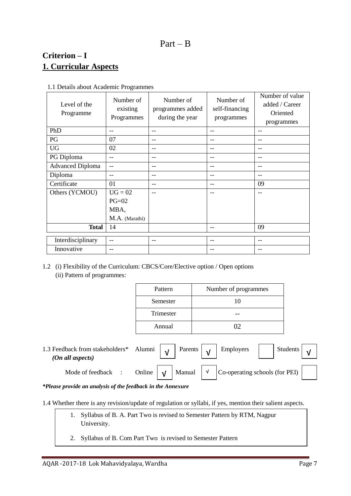## Part – B

## **Criterion – I 1. Curricular Aspects**

| Level of the<br>Programme | Number of<br>existing<br>Programmes | Number of<br>programmes added<br>during the year | Number of<br>self-financing<br>programmes | Number of value<br>added / Career<br>Oriented<br>programmes |
|---------------------------|-------------------------------------|--------------------------------------------------|-------------------------------------------|-------------------------------------------------------------|
| PhD                       | --                                  | --                                               | --                                        | --                                                          |
| PG                        | 07                                  | --                                               | --                                        | $-$                                                         |
| <b>UG</b>                 | 02                                  | --                                               | --                                        | $-$                                                         |
| PG Diploma                | --                                  | --                                               | --                                        | $-$                                                         |
| <b>Advanced Diploma</b>   | $-$                                 | --                                               | --                                        | $-$                                                         |
| Diploma                   | --                                  | --                                               | --                                        | $-$                                                         |
| Certificate               | 01                                  | --                                               | --                                        | 09                                                          |
| Others (YCMOU)            | $UG = 02$                           | --                                               | --                                        | $-$                                                         |
|                           | $PG=02$                             |                                                  |                                           |                                                             |
|                           | MBA,                                |                                                  |                                           |                                                             |
|                           | M.A. (Marathi)                      |                                                  |                                           |                                                             |
| <b>Total</b>              | 14                                  |                                                  | --                                        | 09                                                          |
| Interdisciplinary         |                                     |                                                  |                                           |                                                             |
|                           | $- -$                               | --                                               | --                                        | $-$                                                         |
| Innovative                | --                                  |                                                  |                                           | $-$                                                         |

1.1 Details about Academic Programmes

1.2 (i) Flexibility of the Curriculum: CBCS/Core/Elective option / Open options (ii) Pattern of programmes:

| Pattern   | Number of programmes |
|-----------|----------------------|
| Semester  | 10                   |
| Trimester |                      |
| Annual    | ∩⊇                   |

| 1.3 Feedback from stakeholders* Alumni $\sqrt{V}$<br>(On all aspects) |  | Parents $\vert \cdot \vert$ | <b>Employers</b>                                                                         | Students |  |
|-----------------------------------------------------------------------|--|-----------------------------|------------------------------------------------------------------------------------------|----------|--|
| Mode of feedback :                                                    |  |                             | Online $\big  \bigvee \big $ Manual $\big  \bigvee \big $ Co-operating schools (for PEI) |          |  |

*\*Please provide an analysis of the feedback in the Annexure*

1.4 Whether there is any revision/update of regulation or syllabi, if yes, mention their salient aspects.

- 1. Syllabus of B. A. Part Two is revised to Semester Pattern by RTM, Nagpur University.
- 2. Syllabus of B. Com Part Two is revised to Semester Pattern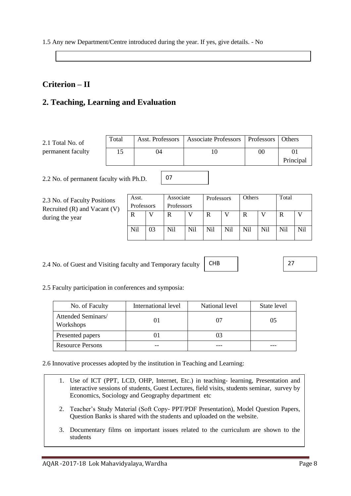1.5 Any new Department/Centre introduced during the year. If yes, give details. - No

## **Criterion – II**

## **2. Teaching, Learning and Evaluation**

| 2.1 Total No. of  | Total | Asst. Professors | Associate Professors   Professors |                | Others    |
|-------------------|-------|------------------|-----------------------------------|----------------|-----------|
| permanent faculty |       | 04               | 10                                | 0 <sup>0</sup> | 01        |
|                   |       |                  |                                   |                | Principal |
|                   |       |                  |                                   |                |           |

07

2.2 No. of permanent faculty with Ph.D.

| 2.3 No. of Faculty Positions     |
|----------------------------------|
| Recruited $(R)$ and Vacant $(V)$ |
| during the year                  |

| Asst.      |    | Associate  |     | Professors |     | Others |     | Total |     |
|------------|----|------------|-----|------------|-----|--------|-----|-------|-----|
| Professors |    | Professors |     |            |     |        |     |       |     |
|            |    | R          |     | R          |     | R      |     | R     |     |
| Nil        | 03 | Nil        | Nil | Nil        | Nil | Nil    | Nil | Nil   | Nil |

2.4 No. of Guest and Visiting faculty and Temporary faculty

CHB

27

2.5 Faculty participation in conferences and symposia:

| No. of Faculty                  | International level | National level | State level |
|---------------------------------|---------------------|----------------|-------------|
| Attended Seminars/<br>Workshops |                     |                | 05          |
| Presented papers                |                     |                |             |
| <b>Resource Persons</b>         |                     |                |             |

2.6 Innovative processes adopted by the institution in Teaching and Learning:

- 1. Use of ICT (PPT, LCD, OHP, Internet, Etc.) in teaching- learning, Presentation and interactive sessions of students, Guest Lectures, field visits, students seminar, survey by Economics, Sociology and Geography department etc
- 2. Teacher's Study Material (Soft Copy- PPT/PDF Presentation), Model Question Papers, Question Banks is shared with the students and uploaded on the website.
- 3. Documentary films on important issues related to the curriculum are shown to the students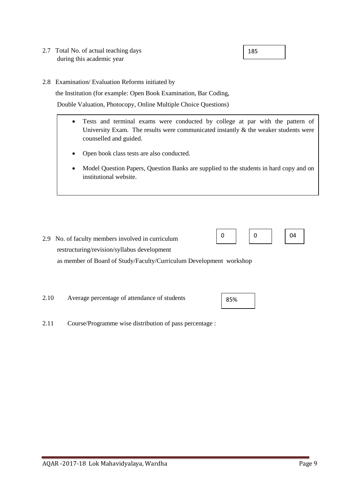- 2.7 Total No. of actual teaching days during this academic year
- 2.8 Examination/ Evaluation Reforms initiated by

the Institution (for example: Open Book Examination, Bar Coding,

Double Valuation, Photocopy, Online Multiple Choice Questions)

- Tests and terminal exams were conducted by college at par with the pattern of University Exam. The results were communicated instantly  $\&$  the weaker students were counselled and guided.
	- Open book class tests are also conducted.
	- Model Question Papers, Question Banks are supplied to the students in hard copy and on institutional website.

- 2.9 No. of faculty members involved in curriculum restructuring/revision/syllabus development as member of Board of Study/Faculty/Curriculum Development workshop
- 2.10 Average percentage of attendance of students
- 2.11 Course/Programme wise distribution of pass percentage :



| 185 |
|-----|
|     |

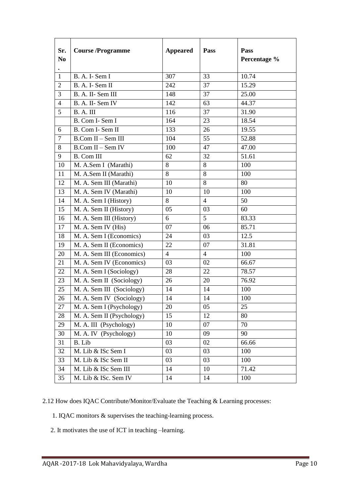| Sr.<br>N <sub>0</sub> | <b>Course/Programme</b>   | <b>Appeared</b> | Pass           | <b>Pass</b><br>Percentage % |
|-----------------------|---------------------------|-----------------|----------------|-----------------------------|
| $\mathbf{1}$          | B. A. I-Sem I             | 307             | 33             | 10.74                       |
| $\sqrt{2}$            | B. A. I-Sem II            | 242             | 37             | 15.29                       |
| $\mathfrak{Z}$        | B. A. II-Sem III          | 148             | 37             | 25.00                       |
| $\overline{4}$        | B. A. II-Sem IV           | 142             | 63             | 44.37                       |
| 5                     | B. A. III                 | 116             | 37             | 31.90                       |
|                       | B. Com I- Sem I           | 164             | 23             | 18.54                       |
| 6                     | B. Com I- Sem II          | 133             | 26             | 19.55                       |
| $\tau$                | B.Com II - Sem III        | 104             | 55             | 52.88                       |
| 8                     | B.Com II - Sem IV         | 100             | 47             | 47.00                       |
| 9                     | <b>B.</b> Com III         | 62              | 32             | 51.61                       |
| 10                    | M. A.Sem I (Marathi)      | 8               | 8              | 100                         |
| 11                    | M. A.Sem II (Marathi)     | 8               | 8              | 100                         |
| 12                    | M. A. Sem III (Marathi)   | 10              | 8              | 80                          |
| 13                    | M. A. Sem IV (Marathi)    | 10              | 10             | 100                         |
| 14                    | M. A. Sem I (History)     | 8               | $\overline{4}$ | 50                          |
| 15                    | M. A. Sem II (History)    | 05              | 03             | 60                          |
| 16                    | M. A. Sem III (History)   | 6               | 5              | 83.33                       |
| 17                    | M. A. Sem IV (His)        | 07              | 06             | 85.71                       |
| 18                    | M. A. Sem I (Economics)   | 24              | 03             | 12.5                        |
| 19                    | M. A. Sem II (Economics)  | 22              | 07             | 31.81                       |
| 20                    | M. A. Sem III (Economics) | $\overline{4}$  | $\overline{4}$ | 100                         |
| 21                    | M. A. Sem IV (Economics)  | 03              | 02             | 66.67                       |
| 22                    | M. A. Sem I (Sociology)   | 28              | 22             | 78.57                       |
| 23                    | M. A. Sem II (Sociology)  | 26              | 20             | 76.92                       |
| 25                    | M. A. Sem III (Sociology) | 14              | 14             | 100                         |
| 26                    | M. A. Sem IV (Sociology)  | 14              | 14             | 100                         |
| $27\,$                | M. A. Sem I (Psychology)  | 20              | 05             | 25                          |
| 28                    | M. A. Sem II (Psychology) | 15              | 12             | 80                          |
| 29                    | M. A. III (Psychology)    | 10              | 07             | 70                          |
| 30                    | M. A. IV (Psychology)     | 10              | 09             | 90                          |
| 31                    | B. Lib                    | 03              | 02             | 66.66                       |
| 32                    | M. Lib & ISc Sem I        | 03              | 03             | 100                         |
| 33                    | M. Lib & ISc Sem II       | 03              | 03             | 100                         |
| 34                    | M. Lib & ISc Sem III      | 14              | 10             | 71.42                       |
| 35                    | M. Lib & ISc. Sem IV      | 14              | 14             | 100                         |

2.12 How does IQAC Contribute/Monitor/Evaluate the Teaching & Learning processes:

- 1. IQAC monitors & supervises the teaching-learning process.
- 2. It motivates the use of ICT in teaching –learning.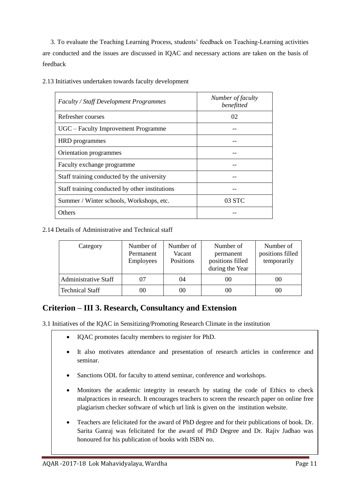3. To evaluate the Teaching Learning Process, students' feedback on Teaching-Learning activities are conducted and the issues are discussed in IQAC and necessary actions are taken on the basis of feedback

| Faculty / Staff Development Programmes         | Number of faculty<br>benefitted |
|------------------------------------------------|---------------------------------|
| Refresher courses                              | 02                              |
| UGC – Faculty Improvement Programme            |                                 |
| <b>HRD</b> programmes                          |                                 |
| Orientation programmes                         |                                 |
| Faculty exchange programme                     |                                 |
| Staff training conducted by the university     |                                 |
| Staff training conducted by other institutions |                                 |
| Summer / Winter schools, Workshops, etc.       | 03 STC                          |
| Others                                         |                                 |

2.13 Initiatives undertaken towards faculty development

2.14 Details of Administrative and Technical staff

| Category                    | Number of<br>Permanent<br>Employees | Number of<br>Vacant<br>Positions | Number of<br>permanent<br>positions filled<br>during the Year | Number of<br>positions filled<br>temporarily |
|-----------------------------|-------------------------------------|----------------------------------|---------------------------------------------------------------|----------------------------------------------|
| <b>Administrative Staff</b> |                                     | 04                               | 00                                                            | 00                                           |
| <b>Technical Staff</b>      | 00                                  | 00                               | 00                                                            | 00                                           |

## **Criterion – III 3. Research, Consultancy and Extension**

3.1 Initiatives of the IQAC in Sensitizing/Promoting Research Climate in the institution

- IQAC promotes faculty members to register for PhD.
- It also motivates attendance and presentation of research articles in conference and seminar.
- Sanctions ODL for faculty to attend seminar, conference and workshops.
- Monitors the academic integrity in research by stating the code of Ethics to check malpractices in research. It encourages teachers to screen the research paper on online free plagiarism checker software of which url link is given on the institution website.
- Teachers are felicitated for the award of PhD degree and for their publications of book. Dr. Sarita Ganraj was felicitated for the award of PhD Degree and Dr. Rajiv Jadhao was honoured for his publication of books with ISBN no.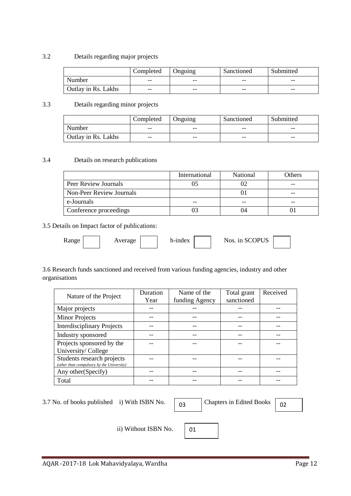#### 3.2 Details regarding major projects

|                            | Completed | Ongoing | Sanctioned | Submitted |
|----------------------------|-----------|---------|------------|-----------|
| Number                     | --        | $- -$   | $- -$      | --        |
| <b>Outlay in Rs. Lakhs</b> | $- -$     | $- -$   | $- -$      | --        |

#### 3.3 Details regarding minor projects

|                     | Completed | Ongoing | Sanctioned | Submitted |
|---------------------|-----------|---------|------------|-----------|
| Number              | $- -$     | $- -$   | $- -$      | $- -$     |
| Outlay in Rs. Lakhs | $- -$     | $- -$   | $- -$      | $- -$     |

#### 3.4 Details on research publications

|                                 | International | National | Others |
|---------------------------------|---------------|----------|--------|
| Peer Review Journals            |               |          |        |
| <b>Non-Peer Review Journals</b> |               |          |        |
| e-Journals                      | --            |          | --     |
| Conference proceedings          |               |          |        |

#### 3.5 Details on Impact factor of publications:

| h-index<br>Nos. 1n<br><b>A</b> xange<br>verage<br>ບບ |
|------------------------------------------------------|
|------------------------------------------------------|

#### 3.6 Research funds sanctioned and received from various funding agencies, industry and other organisations

| Nature of the Project                     | Duration | Name of the    | Total grant | Received |
|-------------------------------------------|----------|----------------|-------------|----------|
|                                           | Year     | funding Agency | sanctioned  |          |
| Major projects                            |          |                |             |          |
| <b>Minor Projects</b>                     |          |                |             |          |
| <b>Interdisciplinary Projects</b>         |          |                |             |          |
| Industry sponsored                        |          |                |             |          |
| Projects sponsored by the                 |          |                |             |          |
| University/College                        |          |                |             |          |
| Students research projects                |          |                |             |          |
| (other than compulsory by the University) |          |                |             |          |
| Any other (Specify)                       |          |                |             |          |
| Total                                     |          |                |             |          |

3.7 No. of books published i) With ISBN No.  $\sqrt{0.03}$ 

Chapters in Edited Books  $\boxed{02}$ 

ii) Without ISBN No.  $\begin{array}{|c|c|} \hline 01 \end{array}$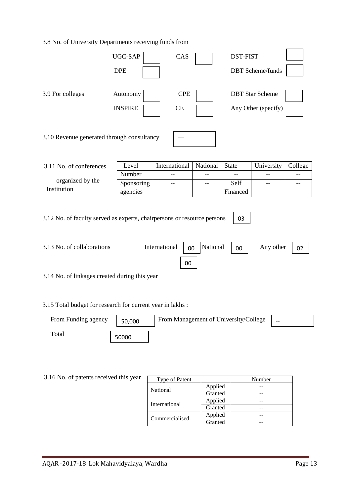#### 3.8 No. of University Departments receiving funds from

|                                                                                                                                                                                                                                | UGC-SAP<br><b>DPE</b>      | CAS                                   |                    | <b>DST-FIST</b>  | <b>DBT</b> Scheme/funds                       |         |  |  |
|--------------------------------------------------------------------------------------------------------------------------------------------------------------------------------------------------------------------------------|----------------------------|---------------------------------------|--------------------|------------------|-----------------------------------------------|---------|--|--|
| 3.9 For colleges                                                                                                                                                                                                               | Autonomy<br><b>INSPIRE</b> | <b>CPE</b><br>CE                      |                    |                  | <b>DBT</b> Star Scheme<br>Any Other (specify) |         |  |  |
| 3.10 Revenue generated through consultancy<br>$---$                                                                                                                                                                            |                            |                                       |                    |                  |                                               |         |  |  |
| 3.11 No. of conferences                                                                                                                                                                                                        | Level                      | International                         | National           | <b>State</b>     | University                                    | College |  |  |
|                                                                                                                                                                                                                                | Number                     | $-$                                   | $-$                | --               |                                               | --      |  |  |
| organized by the<br>Institution                                                                                                                                                                                                | Sponsoring<br>agencies     |                                       | --                 | Self<br>Financed |                                               | --      |  |  |
| 3.12 No. of faculty served as experts, chairpersons or resource persons<br>03<br>3.13 No. of collaborations<br>International<br>National<br>Any other<br>00<br>00<br>02<br>00<br>3.14 No. of linkages created during this year |                            |                                       |                    |                  |                                               |         |  |  |
| 3.15 Total budget for research for current year in lakhs:                                                                                                                                                                      |                            |                                       |                    |                  |                                               |         |  |  |
| From Funding agency                                                                                                                                                                                                            | 50,000                     | From Management of University/College |                    |                  |                                               |         |  |  |
| Total<br>50000                                                                                                                                                                                                                 |                            |                                       |                    |                  |                                               |         |  |  |
|                                                                                                                                                                                                                                |                            |                                       |                    |                  |                                               |         |  |  |
| 3.16 No. of patents received this year                                                                                                                                                                                         |                            | Type of Patent                        |                    |                  | Number                                        |         |  |  |
|                                                                                                                                                                                                                                |                            | National                              | Applied            |                  | --                                            |         |  |  |
|                                                                                                                                                                                                                                |                            |                                       | Granted<br>Applied |                  | --                                            |         |  |  |
|                                                                                                                                                                                                                                |                            | International                         | Granted            |                  | --<br>--                                      |         |  |  |
|                                                                                                                                                                                                                                |                            |                                       | Applied            |                  | --                                            |         |  |  |
|                                                                                                                                                                                                                                |                            | Commercialised                        | Granted            |                  |                                               |         |  |  |

Granted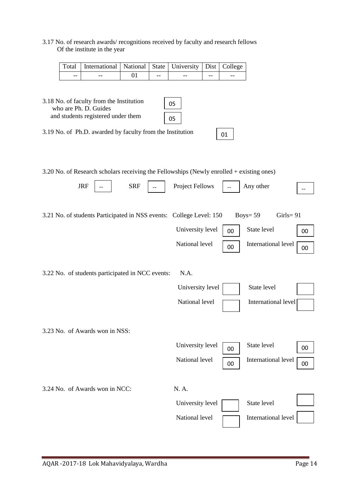#### 3.17 No. of research awards/ recognitions received by faculty and research fellows Of the institute in the year

|    | Total   International   National   State   University   Dist   College |       |       |      |       |
|----|------------------------------------------------------------------------|-------|-------|------|-------|
| -- | --                                                                     | $- -$ | $- -$ | $ -$ | $- -$ |

| 3.18 No. of faculty from the Institution<br>who are Ph. D. Guides<br>and students registered under them | 05<br>05               |    |                          |    |
|---------------------------------------------------------------------------------------------------------|------------------------|----|--------------------------|----|
| 3.19 No. of Ph.D. awarded by faculty from the Institution                                               |                        | 01 |                          |    |
| 3.20 No. of Research scholars receiving the Fellowships (Newly enrolled + existing ones)                |                        |    |                          |    |
| <b>JRF</b><br><b>SRF</b>                                                                                | <b>Project Fellows</b> |    | Any other                |    |
| 3.21 No. of students Participated in NSS events: College Level: 150                                     |                        |    | Boys= $59$<br>$Girls=91$ |    |
|                                                                                                         | University level       | 00 | State level              | 00 |
|                                                                                                         | National level         | 00 | International level      | 00 |
| 3.22 No. of students participated in NCC events:                                                        | N.A.                   |    |                          |    |
|                                                                                                         | University level       |    | State level              |    |
|                                                                                                         | National level         |    | International level      |    |
| 3.23 No. of Awards won in NSS:                                                                          |                        |    |                          |    |
|                                                                                                         | University level       | 00 | State level              | 00 |
|                                                                                                         | National level         | 00 | International level      | 00 |
| 3.24 No. of Awards won in NCC:                                                                          | N. A.                  |    |                          |    |
|                                                                                                         | University level       |    | State level              |    |
|                                                                                                         | National level         |    | International level      |    |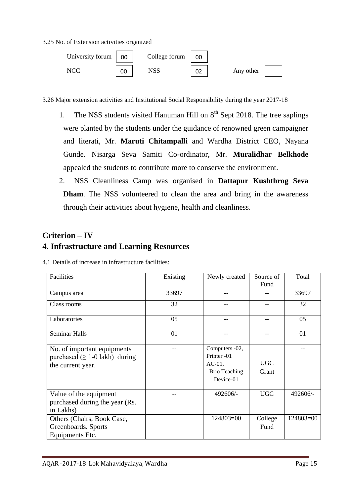3.25 No. of Extension activities organized



3.26 Major extension activities and Institutional Social Responsibility during the year 2017-18

- 1. The NSS students visited Hanuman Hill on  $8<sup>th</sup>$  Sept 2018. The tree saplings were planted by the students under the guidance of renowned green campaigner and literati, Mr. **Maruti Chitampalli** and Wardha District CEO, Nayana Gunde. Nisarga Seva Samiti Co-ordinator, Mr. **Muralidhar Belkhode** appealed the students to contribute more to conserve the environment.
- 2. NSS Cleanliness Camp was organised in **Dattapur Kushthrog Seva Dham**. The NSS volunteered to clean the area and bring in the awareness through their activities about hygiene, health and cleanliness.

## **Criterion – IV**

## **4. Infrastructure and Learning Resources**

|  |  | 4.1 Details of increase in infrastructure facilities: |  |
|--|--|-------------------------------------------------------|--|

| Facilities                                                                               | Existing | Newly created                                                                   | Source of<br>Fund   | Total     |
|------------------------------------------------------------------------------------------|----------|---------------------------------------------------------------------------------|---------------------|-----------|
| Campus area                                                                              | 33697    |                                                                                 |                     | 33697     |
| Class rooms                                                                              | 32       |                                                                                 |                     | 32        |
| Laboratories                                                                             | 05       |                                                                                 |                     | 05        |
| <b>Seminar Halls</b>                                                                     | 01       |                                                                                 |                     | 01        |
| No. of important equipments<br>purchased ( $\geq 1$ -0 lakh) during<br>the current year. |          | Computers -02,<br>Printer -01<br>$AC-01$ ,<br><b>Brio Teaching</b><br>Device-01 | <b>UGC</b><br>Grant |           |
| Value of the equipment<br>purchased during the year (Rs.<br>in Lakhs)                    |          | $492606/-$                                                                      | <b>UGC</b>          | 492606/-  |
| Others (Chairs, Book Case,<br>Greenboards. Sports<br>Equipments Etc.                     |          | $124803=00$                                                                     | College<br>Fund     | 124803=00 |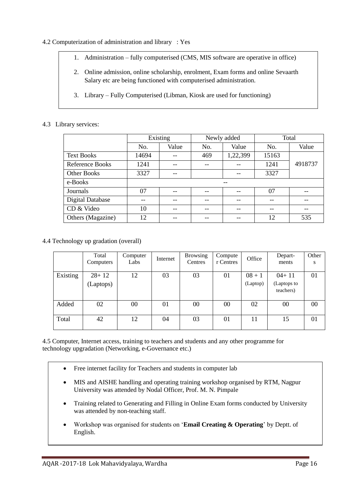#### 4.2 Computerization of administration and library : Yes

- 1. Administration fully computerised (CMS, MIS software are operative in office)
- 2. Online admission, online scholarship, enrolment, Exam forms and online Sevaarth Salary etc are being functioned with computerised administration.
- 3. Library Fully Computerised (Libman, Kiosk are used for functioning)

#### 4.3 Library services:

|                         | Existing |       |              | Newly added | Total |         |
|-------------------------|----------|-------|--------------|-------------|-------|---------|
|                         | No.      | Value | Value<br>No. |             | No.   | Value   |
| <b>Text Books</b>       | 14694    |       | 469          | 1,22,399    | 15163 |         |
| Reference Books         | 1241     |       |              |             | 1241  | 4918737 |
| <b>Other Books</b>      | 3327     |       | --           |             | 3327  |         |
| e-Books                 |          |       |              | --          |       |         |
| Journals                | 07       |       |              | --          | 07    |         |
| <b>Digital Database</b> |          |       |              | --          |       |         |
| CD & Video              | 10       |       |              | --          |       | --      |
| Others (Magazine)       | 12       |       |              | --          | 12    | 535     |

4.4 Technology up gradation (overall)

|          | Total<br>Computers     | Computer<br>Labs | Internet | <b>Browsing</b><br>Centres | Compute<br>r Centres | Office               | Depart-<br>ments                    | Other<br>S |
|----------|------------------------|------------------|----------|----------------------------|----------------------|----------------------|-------------------------------------|------------|
| Existing | $28 + 12$<br>(Laptops) | 12               | 03       | 03                         | 01                   | $08 + 1$<br>(Laptop) | $04+11$<br>(Laptops to<br>teachers) | 01         |
| Added    | 02                     | 00               | 01       | $00\,$                     | 00                   | 02                   | 00                                  | 00         |
| Total    | 42                     | 12               | 04       | 03                         | 01                   | 11                   | 15                                  | 01         |

4.5 Computer, Internet access, training to teachers and students and any other programme for technology upgradation (Networking, e-Governance etc.)

- Free internet facility for Teachers and students in computer lab
- MIS and AISHE handling and operating training workshop organised by RTM, Nagpur University was attended by Nodal Officer, Prof. M. N. Pimpale
- Training related to Generating and Filling in Online Exam forms conducted by University was attended by non-teaching staff.
- Workshop was organised for students on '**Email Creating & Operating**' by Deptt. of English.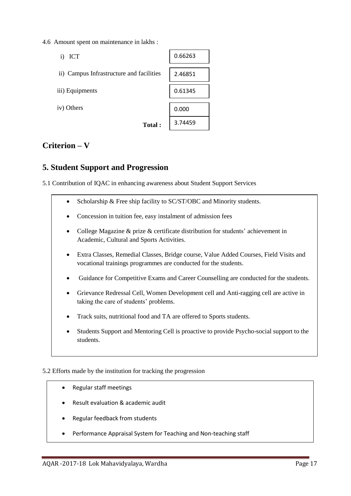4.6 Amount spent on maintenance in lakhs :

| ICT<br>i)                                | 0.66263 |
|------------------------------------------|---------|
| ii) Campus Infrastructure and facilities | 2.46851 |
| iii) Equipments                          | 0.61345 |
| iv) Others                               | 0.000   |
| <b>Total:</b>                            | 3.74459 |

## **Criterion – V**

## **5. Student Support and Progression**

5.1 Contribution of IQAC in enhancing awareness about Student Support Services

- Scholarship & Free ship facility to SC/ST/OBC and Minority students.
- Concession in tuition fee, easy instalment of admission fees
- College Magazine & prize & certificate distribution for students' achievement in Academic, Cultural and Sports Activities.
- Extra Classes, Remedial Classes, Bridge course, Value Added Courses, Field Visits and vocational trainings programmes are conducted for the students.
- Guidance for Competitive Exams and Career Counselling are conducted for the students.
- Grievance Redressal Cell, Women Development cell and Anti-ragging cell are active in taking the care of students' problems.
- Track suits, nutritional food and TA are offered to Sports students.
- Students Support and Mentoring Cell is proactive to provide Psycho-social support to the students.

#### 5.2 Efforts made by the institution for tracking the progression

- Regular staff meetings
- Result evaluation & academic audit
- Regular feedback from students
- Performance Appraisal System for Teaching and Non-teaching staff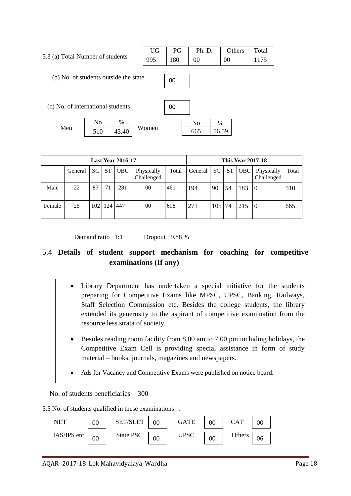5.3 (a) Total Number of students

| UG | PG  | Ph. D. | Others | Total |
|----|-----|--------|--------|-------|
|    | 180 | $00\,$ | 00     | 1175  |

(b) No. of students outside the state

(c) No. of international students

Men  $510 \t 43.40$  Women  $\overline{N_0}$  | % 510 43.40

| 00 |     |       |  |
|----|-----|-------|--|
|    | No  | $\%$  |  |
|    | 665 | 56.59 |  |

| <b>Last Year 2016-17</b> |         |                  |     |            |                          | <b>This Year 2017-18</b> |         |     |    |            |                          |       |
|--------------------------|---------|------------------|-----|------------|--------------------------|--------------------------|---------|-----|----|------------|--------------------------|-------|
|                          | General | SC               | ST  | <b>OBC</b> | Physically<br>Challenged | Total                    | General | SC  | ST | <b>OBC</b> | Physically<br>Challenged | Total |
| Male                     | 22      | 87               | 71  | 281        | 00                       | 461                      | 194     | 90  | 54 | 183        | 0                        | 510   |
| Female                   | 25      | 102 <sub>l</sub> | 124 | 447        | 00                       | 698                      | 271     | 105 | 74 | 215        | 0                        | 665   |

00

Demand ratio 1:1 Dropout : 9.88 %

## 5.4 **Details of student support mechanism for coaching for competitive examinations (If any)**

- Library Department has undertaken a special initiative for the students preparing for Competitive Exams like MPSC, UPSC, Banking, Railways, Staff Selection Commission etc. Besides the college students, the library extended its generosity to the aspirant of competitive examination from the resource less strata of society.
	- Besides reading room facility from 8.00 am to 7.00 pm including holidays, the Competitive Exam Cell is providing special assistance in form of study material – books, journals, magazines and newspapers.
	- Ads for Vacancy and Competitive Exams were published on notice board.

No. of students beneficiaries 300

5.5 No. of students qualified in these examinations –.

| <b>NET</b>  | 00 | SET/SLET  |    | <b>GATE</b> | 00 | <b>CAT</b> |  |
|-------------|----|-----------|----|-------------|----|------------|--|
| IAS/IPS etc | 00 | State PSC | 00 | <b>JPSC</b> | OO | Others     |  |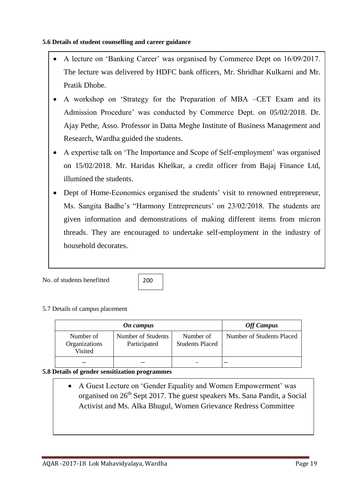#### **5.6 Details of student counselling and career guidance**

- A lecture on 'Banking Career' was organised by Commerce Dept on 16/09/2017. The lecture was delivered by HDFC bank officers, Mr. Shridhar Kulkarni and Mr. Pratik Dhobe.
- A workshop on 'Strategy for the Preparation of MBA –CET Exam and its Admission Procedure' was conducted by Commerce Dept. on 05/02/2018. Dr. Ajay Pethe, Asso. Professor in Datta Meghe Institute of Business Management and Research, Wardha guided the students.
- A expertise talk on 'The Importance and Scope of Self-employment' was organised on 15/02/2018. Mr. Haridas Khelkar, a credit officer from Bajaj Finance Ltd, illumined the students.
- Dept of Home-Economics organised the students' visit to renowned entrepreneur, Ms. Sangita Badhe's "Harmony Entrepreneurs' on 23/02/2018. The students are given information and demonstrations of making different items from micron threads. They are encouraged to undertake self-employment in the industry of household decorates.

No. of students benefitted

200

#### 5.7 Details of campus placement

|                                       | <b>Off Campus</b>                  |                                     |                           |
|---------------------------------------|------------------------------------|-------------------------------------|---------------------------|
| Number of<br>Organizations<br>Visited | Number of Students<br>Participated | Number of<br><b>Students Placed</b> | Number of Students Placed |
|                                       |                                    |                                     |                           |

#### **5.8 Details of gender sensitization programmes**

 A Guest Lecture on 'Gender Equality and Women Empowerment' was organised on  $26<sup>th</sup>$  Sept 2017. The guest speakers Ms. Sana Pandit, a Social Activist and Ms. Alka Bhugul, Women Grievance Redress Committee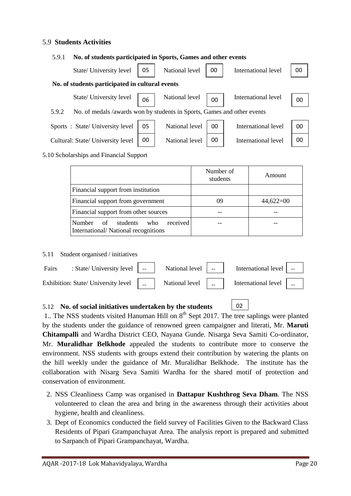#### 5.9 **Students Activities**

#### 5.9.1 **No. of students participated in Sports, Games and other events**

| State/ University level                                                          | 05 | National level | 00 | International level | 00 |
|----------------------------------------------------------------------------------|----|----------------|----|---------------------|----|
| No. of students participated in cultural events                                  |    |                |    |                     |    |
| State/ University level                                                          | 06 | National level | 00 | International level | 00 |
| No. of medals /awards won by students in Sports, Games and other events<br>5.9.2 |    |                |    |                     |    |
| Sports: State/University level                                                   | 05 | National level | 00 | International level | 00 |
| Cultural: State/ University level                                                | 00 | National level | 00 | International level | 00 |

#### 5.10 Scholarships and Financial Support

|                                                                              | Number of<br>students | Amount      |
|------------------------------------------------------------------------------|-----------------------|-------------|
| Financial support from institution                                           |                       |             |
| Financial support from government                                            | 09                    | $44,622=00$ |
| Financial support from other sources                                         |                       |             |
| received<br>Number of students<br>who<br>International/National recognitions |                       |             |

5.11 Student organised / initiatives

| Fairs : State/University level   --   National level   --   International level   --                                                                                                     |  |  |  |
|------------------------------------------------------------------------------------------------------------------------------------------------------------------------------------------|--|--|--|
| Exhibition: State/ University level $\begin{bmatrix} 1 & 1 \end{bmatrix}$ National level $\begin{bmatrix} 1 & 1 \end{bmatrix}$ International level $\begin{bmatrix} 1 & 1 \end{bmatrix}$ |  |  |  |

02

#### 5.12 **No. of social initiatives undertaken by the students**

1.. The NSS students visited Hanuman Hill on  $8<sup>th</sup>$  Sept 2017. The tree saplings were planted by the students under the guidance of renowned green campaigner and literati, Mr. **Maruti Chitampalli** and Wardha District CEO, Nayana Gunde. Nisarga Seva Samiti Co-ordinator, Mr. **Muralidhar Belkhode** appealed the students to contribute more to conserve the environment. NSS students with groups extend their contribution by watering the plants on the hill weekly under the guidance of Mr. Muralidhar Belkhode. The institute has the collaboration with Nisarg Seva Samiti Wardha for the shared motif of protection and conservation of environment.

- 2. NSS Cleanliness Camp was organised in **Dattapur Kushthrog Seva Dham**. The NSS volunteered to clean the area and bring in the awareness through their activities about hygiene, health and cleanliness.
- 3. Dept of Economics conducted the field survey of Facilities Given to the Backward Class Residents of Pipari Grampanchayat Area. The analysis report is prepared and submitted to Sarpanch of Pipari Grampanchayat, Wardha.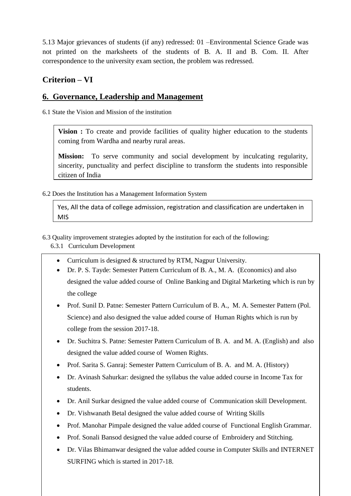5.13 Major grievances of students (if any) redressed: 01 –Environmental Science Grade was not printed on the marksheets of the students of B. A. II and B. Com. II. After correspondence to the university exam section, the problem was redressed.

## **Criterion – VI**

### **6. Governance, Leadership and Management**

6.1 State the Vision and Mission of the institution

**Vision :** To create and provide facilities of quality higher education to the students coming from Wardha and nearby rural areas.

**Mission:** To serve community and social development by inculcating regularity, sincerity, punctuality and perfect discipline to transform the students into responsible citizen of India

6.2 Does the Institution has a Management Information System

Yes, All the data of college admission, registration and classification are undertaken in MIS

6.3 Quality improvement strategies adopted by the institution for each of the following:

6.3.1 Curriculum Development

- Curriculum is designed & structured by RTM, Nagpur University.
- Dr. P. S. Tayde: Semester Pattern Curriculum of B. A., M. A. (Economics) and also designed the value added course of Online Banking and Digital Marketing which is run by the college
- Prof. Sunil D. Patne: Semester Pattern Curriculum of B. A., M. A. Semester Pattern (Pol. Science) and also designed the value added course of Human Rights which is run by college from the session 2017-18.
- Dr. Suchitra S. Patne: Semester Pattern Curriculum of B. A. and M. A. (English) and also designed the value added course of Women Rights.
- Prof. Sarita S. Ganraj: Semester Pattern Curriculum of B. A. and M. A. (History)
- Dr. Avinash Sahurkar: designed the syllabus the value added course in Income Tax for students.
- Dr. Anil Surkar designed the value added course of Communication skill Development.
- Dr. Vishwanath Betal designed the value added course of Writing Skills
- Prof. Manohar Pimpale designed the value added course of Functional English Grammar.
- Prof. Sonali Bansod designed the value added course of Embroidery and Stitching.
- SURFING which is started in 2017-18. Dr. Vilas Bhimanwar designed the value added course in Computer Skills and INTERNET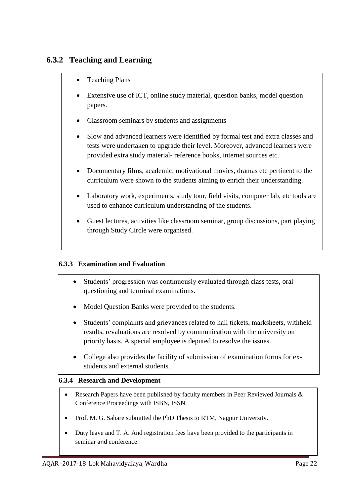## **6.3.2 Teaching and Learning**

- Teaching Plans
- Extensive use of ICT, online study material, question banks, model question papers.
- Classroom seminars by students and assignments
- Slow and advanced learners were identified by formal test and extra classes and tests were undertaken to upgrade their level. Moreover, advanced learners were provided extra study material- reference books, internet sources etc.
- Documentary films, academic, motivational movies, dramas etc pertinent to the curriculum were shown to the students aiming to enrich their understanding.
- Laboratory work, experiments, study tour, field visits, computer lab, etc tools are used to enhance curriculum understanding of the students.
- Guest lectures, activities like classroom seminar, group discussions, part playing through Study Circle were organised.

#### **6.3.3 Examination and Evaluation**

- Students' progression was continuously evaluated through class tests, oral questioning and terminal examinations.
- Model Question Banks were provided to the students.
- Students' complaints and grievances related to hall tickets, marksheets, withheld results, revaluations are resolved by communication with the university on priority basis. A special employee is deputed to resolve the issues.
- College also provides the facility of submission of examination forms for exstudents and external students.

#### **6.3.4 Research and Development**

- Research Papers have been published by faculty members in Peer Reviewed Journals & Conference Proceedings with ISBN, ISSN.
- Prof. M. G. Sahare submitted the PhD Thesis to RTM, Nagpur University.
- Duty leave and T. A. And registration fees have been provided to the participants in seminar and conference.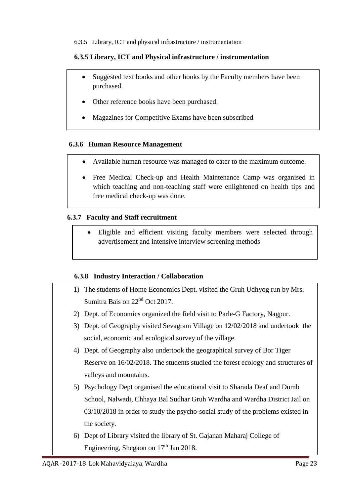6.3.5 Library, ICT and physical infrastructure / instrumentation

#### **6.3.5 Library, ICT and Physical infrastructure / instrumentation**

- Suggested text books and other books by the Faculty members have been purchased.
- Other reference books have been purchased.
- Magazines for Competitive Exams have been subscribed

#### **6.3.6 Human Resource Management**

- Available human resource was managed to cater to the maximum outcome.
- Free Medical Check-up and Health Maintenance Camp was organised in which teaching and non-teaching staff were enlightened on health tips and free medical check-up was done.

#### **6.3.7 Faculty and Staff recruitment**

 Eligible and efficient visiting faculty members were selected through advertisement and intensive interview screening methods

#### **6.3.8 Industry Interaction / Collaboration**

- 1) The students of Home Economics Dept. visited the Gruh Udhyog run by Mrs. Sumitra Bais on  $22<sup>nd</sup>$  Oct 2017.
- 2) Dept. of Economics organized the field visit to Parle-G Factory, Nagpur.
- 3) Dept. of Geography visited Sevagram Village on 12/02/2018 and undertook the social, economic and ecological survey of the village.
- 4) Dept. of Geography also undertook the geographical survey of Bor Tiger Reserve on 16/02/2018. The students studied the forest ecology and structures of valleys and mountains.
- 5) Psychology Dept organised the educational visit to Sharada Deaf and Dumb School, Nalwadi, Chhaya Bal Sudhar Gruh Wardha and Wardha District Jail on 03/10/2018 in order to study the psycho-social study of the problems existed in the society.
- 6) Dept of Library visited the library of St. Gajanan Maharaj College of Engineering, Shegaon on  $17<sup>th</sup>$  Jan 2018.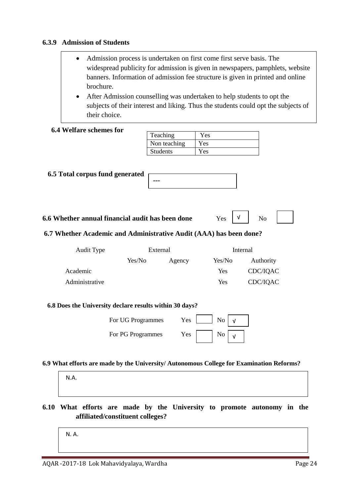#### **6.3.9 Admission of Students**

| • Admission process is undertaken on first come first serve basis. The         |
|--------------------------------------------------------------------------------|
| widespread publicity for admission is given in newspapers, pamphlets, website  |
| banners. Information of admission fee structure is given in printed and online |
| brochure.                                                                      |

 After Admission counselling was undertaken to help students to opt the subjects of their interest and liking. Thus the students could opt the subjects of their choice.

| <b>6.4 Welfare schemes for</b><br>6.5 Total corpus fund generated                        |                   | Teaching<br>Non teaching<br><b>Students</b> | Yes<br>Yes |                |  |
|------------------------------------------------------------------------------------------|-------------------|---------------------------------------------|------------|----------------|--|
|                                                                                          |                   |                                             |            |                |  |
|                                                                                          |                   |                                             |            |                |  |
|                                                                                          |                   |                                             | Yes        |                |  |
|                                                                                          |                   |                                             |            |                |  |
|                                                                                          |                   |                                             |            |                |  |
|                                                                                          |                   | ---                                         |            |                |  |
|                                                                                          |                   |                                             |            |                |  |
|                                                                                          |                   |                                             |            |                |  |
| 6.6 Whether annual financial audit has been done                                         |                   |                                             | v<br>Yes   | N <sub>o</sub> |  |
| 6.7 Whether Academic and Administrative Audit (AAA) has been done?                       |                   |                                             |            |                |  |
| Audit Type                                                                               |                   | External                                    | Internal   |                |  |
|                                                                                          | Yes/No            | Agency                                      | Yes/No     | Authority      |  |
| Academic                                                                                 |                   |                                             | Yes        | CDC/IQAC       |  |
| Administrative                                                                           |                   |                                             | Yes        | CDC/IQAC       |  |
|                                                                                          |                   |                                             |            |                |  |
| 6.8 Does the University declare results within 30 days?                                  |                   |                                             |            |                |  |
|                                                                                          |                   |                                             |            |                |  |
|                                                                                          | For UG Programmes | Yes                                         | No<br>v    |                |  |
|                                                                                          | For PG Programmes | Yes                                         | No         |                |  |
|                                                                                          |                   |                                             | $\sqrt{ }$ |                |  |
|                                                                                          |                   |                                             |            |                |  |
| 6.9 What efforts are made by the University/ Autonomous College for Examination Reforms? |                   |                                             |            |                |  |
|                                                                                          |                   |                                             |            |                |  |
| N.A.                                                                                     |                   |                                             |            |                |  |
|                                                                                          |                   |                                             |            |                |  |
|                                                                                          |                   |                                             |            |                |  |

**affiliated/constituent colleges?**

N. A.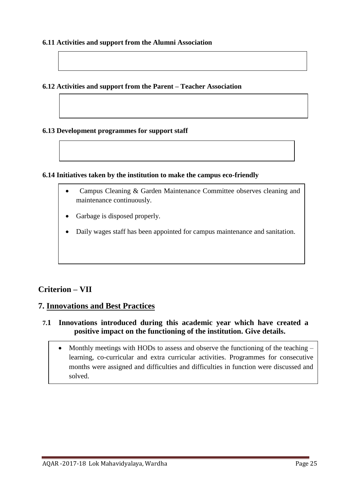#### **6.11 Activities and support from the Alumni Association**

#### **6.12 Activities and support from the Parent – Teacher Association**

#### **6.13 Development programmes for support staff**

#### **6.14 Initiatives taken by the institution to make the campus eco-friendly**

- Campus Cleaning & Garden Maintenance Committee observes cleaning and maintenance continuously.
- Garbage is disposed properly.
- Daily wages staff has been appointed for campus maintenance and sanitation.

#### **Criterion – VII**

#### **7. Innovations and Best Practices**

#### **7.1 Innovations introduced during this academic year which have created a positive impact on the functioning of the institution. Give details.**

• Monthly meetings with HODs to assess and observe the functioning of the teaching – learning, co-curricular and extra curricular activities. Programmes for consecutive months were assigned and difficulties and difficulties in function were discussed and solved.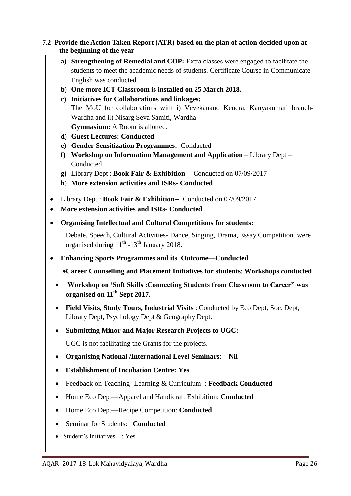#### **7.2 Provide the Action Taken Report (ATR) based on the plan of action decided upon at the beginning of the year**

- **a) Strengthening of Remedial and COP:** Extra classes were engaged to facilitate the students to meet the academic needs of students. Certificate Course in Communicate English was conducted.
- **b) One more ICT Classroom is installed on 25 March 2018.**
- **c) Initiatives for Collaborations and linkages:** The MoU for collaborations with i) Vevekanand Kendra, Kanyakumari branch-Wardha and ii) Nisarg Seva Samiti, Wardha **Gymnasium:** A Room is allotted.
- **d) Guest Lectures: Conducted**
- **e) Gender Sensitization Programmes:** Conducted
- **f) Workshop on Information Management and Application** Library Dept Conducted
- **g)** Library Dept : **Book Fair & Exhibition--** Conducted on 07/09/2017
- **h) More extension activities and ISRs- Conducted**
- Library Dept : **Book Fair & Exhibition--** Conducted on 07/09/2017
- **More extension activities and ISRs- Conducted**
- **Organising Intellectual and Cultural Competitions for students:**

Debate, Speech, Cultural Activities- Dance, Singing, Drama, Essay Competition were organised during  $11<sup>th</sup>$  -13<sup>th</sup> January 2018.

- **Enhancing Sports Programmes and its Outcome**—**Conducted** 
	- **Career Counselling and Placement Initiatives for students**: **Workshops conducted**
	- **Workshop on 'Soft Skills :Connecting Students from Classroom to Career" was organised on 11th Sept 2017.**
	- **Field Visits, Study Tours, Industrial Visits** : Conducted by Eco Dept, Soc. Dept, Library Dept, Psychology Dept & Geography Dept.
	- **Submitting Minor and Major Research Projects to UGC:**

UGC is not facilitating the Grants for the projects.

- **Organising National /International Level Seminars**: **Nil**
- **Establishment of Incubation Centre: Yes**
- Feedback on Teaching- Learning & Curriculum : **Feedback Conducted**
- Home Eco Dept—Apparel and Handicraft Exhibition: **Conducted**
- Home Eco Dept—Recipe Competition: **Conducted**
- Seminar for Students: **Conducted**
- Student's Initiatives : Yes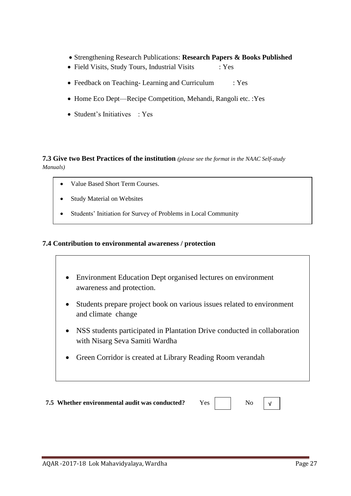- Strengthening Research Publications: **Research Papers & Books Published**
- Field Visits, Study Tours, Industrial Visits : Yes
- Feedback on Teaching- Learning and Curriculum : Yes
- Home Eco Dept—Recipe Competition, Mehandi, Rangoli etc. :Yes
- Student's Initiatives : Yes

#### **7.3 Give two Best Practices of the institution** *(please see the format in the NAAC Self-study Manuals)*

- Value Based Short Term Courses.
- Study Material on Websites
- Students' Initiation for Survey of Problems in Local Community

#### **7.4 Contribution to environmental awareness / protection**

- Environment Education Dept organised lectures on environment awareness and protection.
- Students prepare project book on various issues related to environment and climate change
- NSS students participated in Plantation Drive conducted in collaboration with Nisarg Seva Samiti Wardha
- Green Corridor is created at Library Reading Room verandah

**7.5** Whether environmental audit was conducted? Yes No

√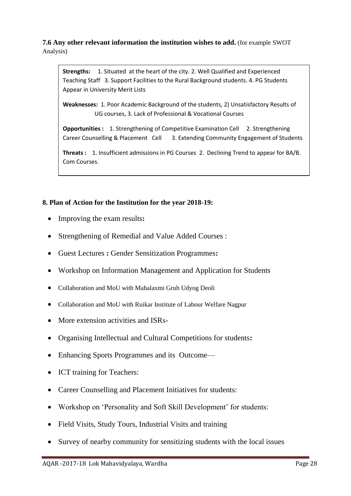**7.6 Any other relevant information the institution wishes to add.** (for example SWOT Analysis)

**Strengths:** 1. Situated at the heart of the city. 2. Well Qualified and Experienced Teaching Staff 3. Support Facilities to the Rural Background students. 4. PG Students Appear in University Merit Lists

**Weaknesses:** 1. Poor Academic Background of the students, 2) Unsatisfactory Results of UG courses, 3. Lack of Professional & Vocational Courses

**Opportunities :** 1. Strengthening of Competitive Examination Cell 2. Strengthening Career Counselling & Placement Cell 3. Extending Community Engagement of Students

**Threats :** 1. Insufficient admissions in PG Courses 2. Declining Trend to appear for BA/B. Com Courses.

#### **8. Plan of Action for the Institution for the year 2018-19:**

- Improving the exam results**:**
- Strengthening of Remedial and Value Added Courses :
- Guest Lectures **:** Gender Sensitization Programmes**:**
- Workshop on Information Management and Application for Students
- Collaboration and MoU with Mahalaxmi Gruh Udyog Deoli
- Collaboration and MoU with Ruikar Institute of Labour Welfare Nagpur
- More extension activities and ISRs-
- Organising Intellectual and Cultural Competitions for students**:**
- Enhancing Sports Programmes and its Outcome—
- ICT training for Teachers:
- Career Counselling and Placement Initiatives for students:
- Workshop on 'Personality and Soft Skill Development' for students:
- Field Visits, Study Tours, Industrial Visits and training
- Survey of nearby community for sensitizing students with the local issues